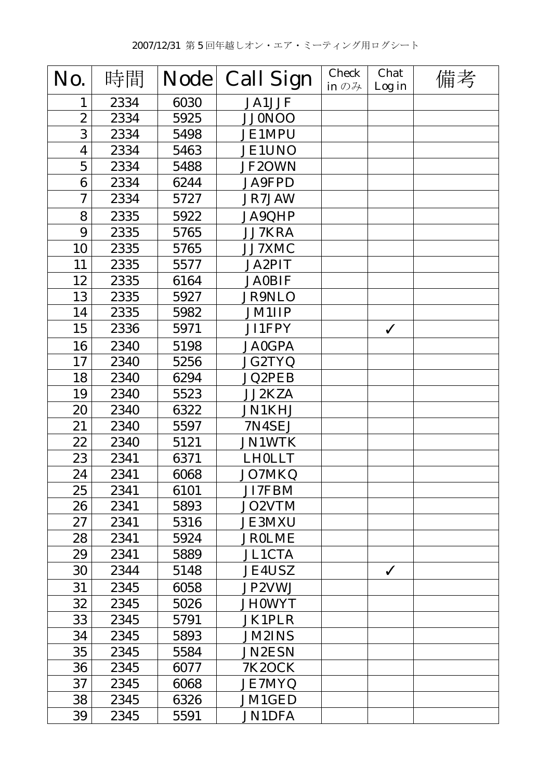| No.            | 時間   | <b>Node</b> | <b>Call Sign</b> | <b>Check</b><br>in $\mathcal{D} \mathcal{H}$ | Chat<br>Log in | 備考 |
|----------------|------|-------------|------------------|----------------------------------------------|----------------|----|
| 1              | 2334 | 6030        | <b>JA1JJF</b>    |                                              |                |    |
| $\overline{2}$ | 2334 | 5925        | <b>JJ0NOO</b>    |                                              |                |    |
| 3              | 2334 | 5498        | <b>JE1MPU</b>    |                                              |                |    |
| 4              | 2334 | 5463        | <b>JE1UNO</b>    |                                              |                |    |
| $\mathbf 5$    | 2334 | 5488        | JF2OWN           |                                              |                |    |
| 6              | 2334 | 6244        | <b>JA9FPD</b>    |                                              |                |    |
| 7              | 2334 | 5727        | JR7JAW           |                                              |                |    |
| 8              | 2335 | 5922        | <b>JA9QHP</b>    |                                              |                |    |
| 9              | 2335 | 5765        | <b>JJ7KRA</b>    |                                              |                |    |
| 10             | 2335 | 5765        | JJ7XMC           |                                              |                |    |
| 11             | 2335 | 5577        | <b>JA2PIT</b>    |                                              |                |    |
| 12             | 2335 | 6164        | <b>JA0BIF</b>    |                                              |                |    |
| 13             | 2335 | 5927        | <b>JR9NLO</b>    |                                              |                |    |
| 14             | 2335 | 5982        | <b>JM1IIP</b>    |                                              |                |    |
| 15             | 2336 | 5971        | JI1FPY           |                                              | $\checkmark$   |    |
| 16             | 2340 | 5198        | <b>JA0GPA</b>    |                                              |                |    |
| 17             | 2340 | 5256        | <b>JG2TYQ</b>    |                                              |                |    |
| 18             | 2340 | 6294        | <b>JQ2PEB</b>    |                                              |                |    |
| 19             | 2340 | 5523        | <b>JJ2KZA</b>    |                                              |                |    |
| 20             | 2340 | 6322        | <b>JN1KHJ</b>    |                                              |                |    |
| 21             | 2340 | 5597        | 7N4SEJ           |                                              |                |    |
| 22             | 2340 | 5121        | <b>JN1WTK</b>    |                                              |                |    |
| 23             | 2341 | 6371        | <b>LH0LLT</b>    |                                              |                |    |
| 24             | 2341 | 6068        | <b>JO7MKQ</b>    |                                              |                |    |
| 25             | 2341 | 6101        | JI7FBM           |                                              |                |    |
| 26             | 2341 | 5893        | JO2VTM           |                                              |                |    |
| 27             | 2341 | 5316        | <b>JE3MXU</b>    |                                              |                |    |
| 28             | 2341 | 5924        | <b>JROLME</b>    |                                              |                |    |
| 29             | 2341 | 5889        | <b>JL1CTA</b>    |                                              |                |    |
| 30             | 2344 | 5148        | <b>JE4USZ</b>    |                                              | $\checkmark$   |    |
| 31             | 2345 | 6058        | JP2VWJ           |                                              |                |    |
| 32             | 2345 | 5026        | <b>JH0WYT</b>    |                                              |                |    |
| 33             | 2345 | 5791        | <b>JK1PLR</b>    |                                              |                |    |
| 34             | 2345 | 5893        | <b>JM2INS</b>    |                                              |                |    |
| 35             | 2345 | 5584        | <b>JN2ESN</b>    |                                              |                |    |
| 36             | 2345 | 6077        | <b>7K2OCK</b>    |                                              |                |    |
| 37             | 2345 | 6068        | <b>JE7MYQ</b>    |                                              |                |    |
| 38             | 2345 | 6326        | JM1GED           |                                              |                |    |
| 39             | 2345 | 5591        | <b>JN1DFA</b>    |                                              |                |    |